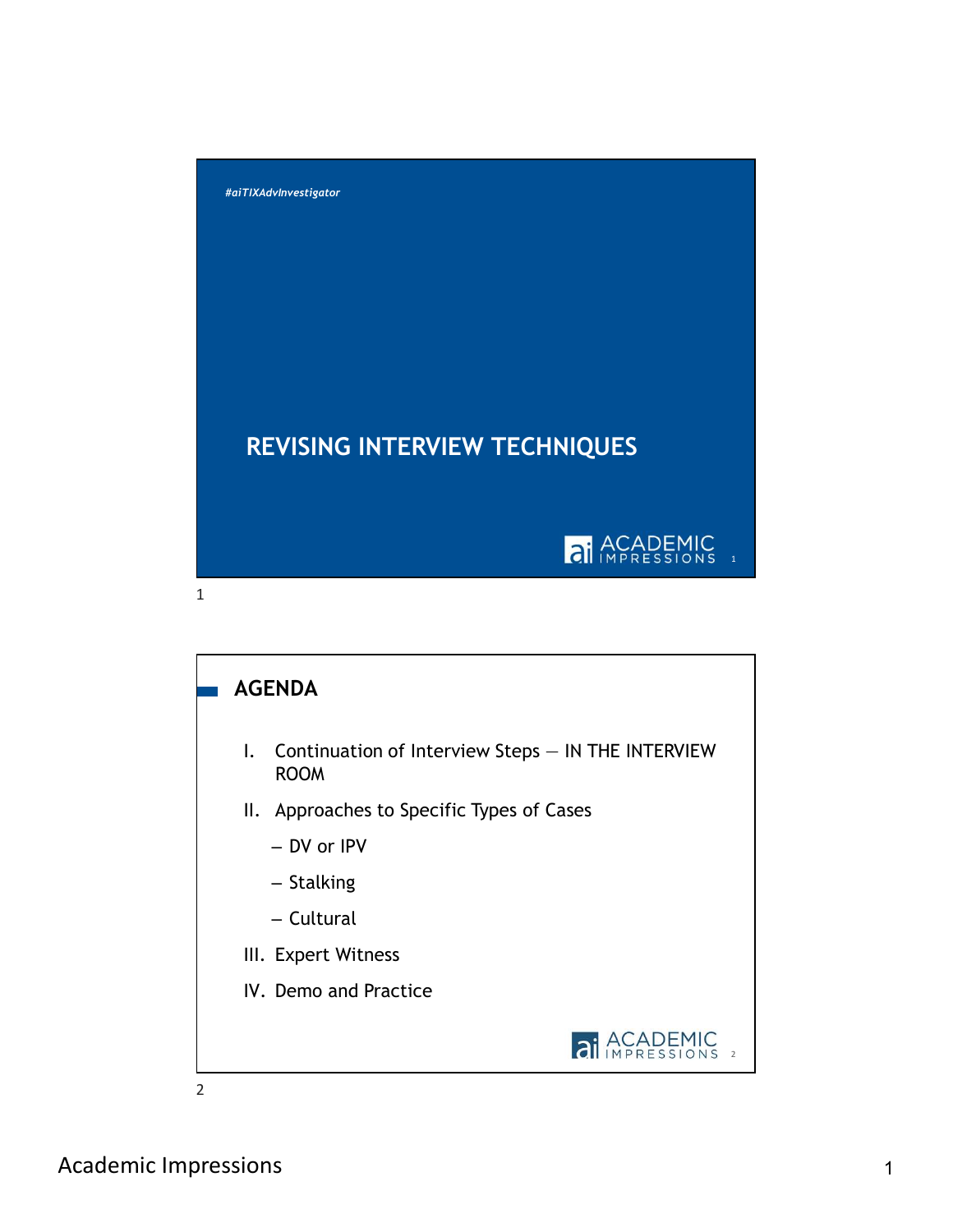

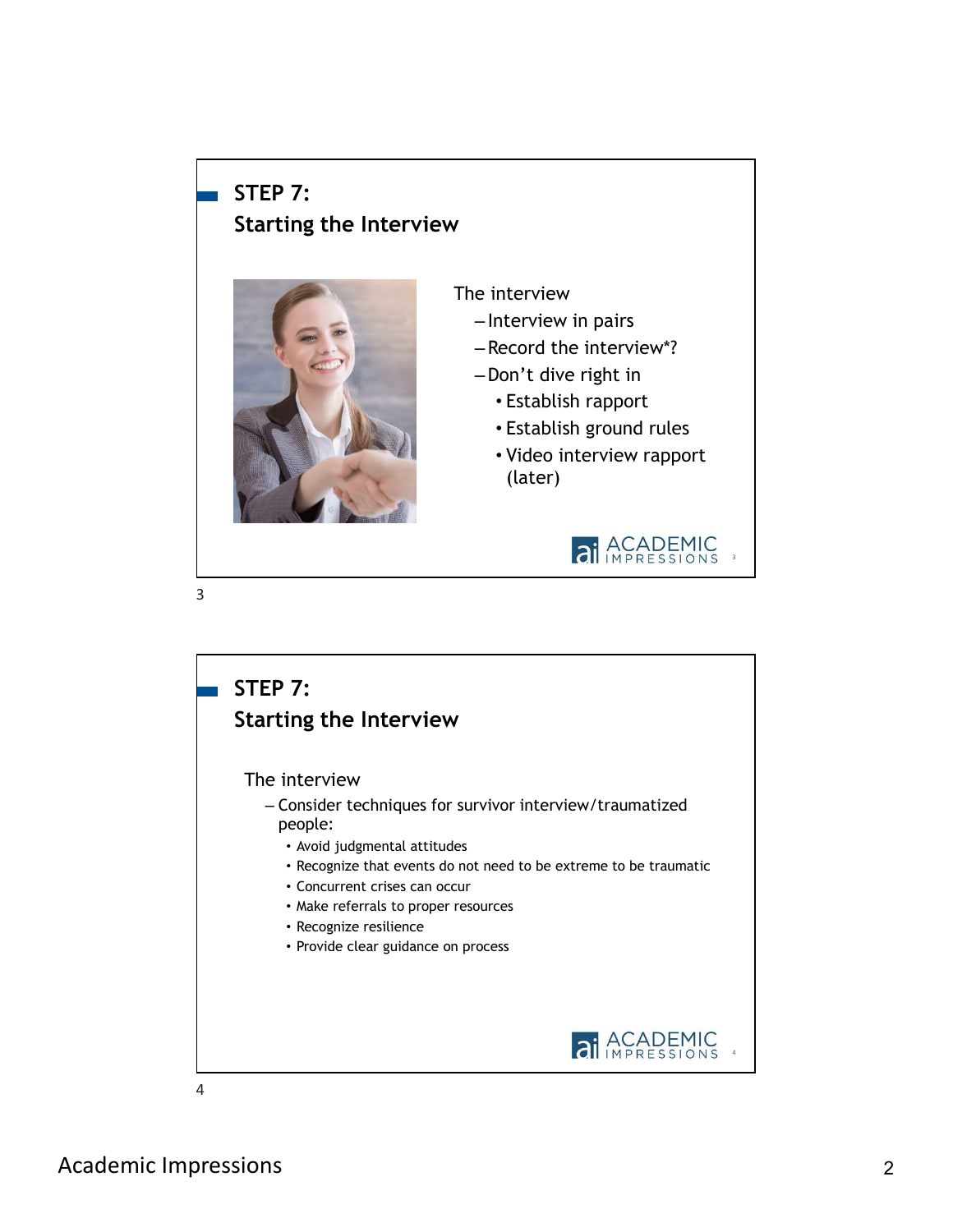## STEP 7: Starting the Interview



3

The interview

- Interview in pairs
- –Record the interview\*?
- –Don't dive right in
	- Establish rapport
	- Establish ground rules
	- Video interview rapport (later)





Academic Impressions 2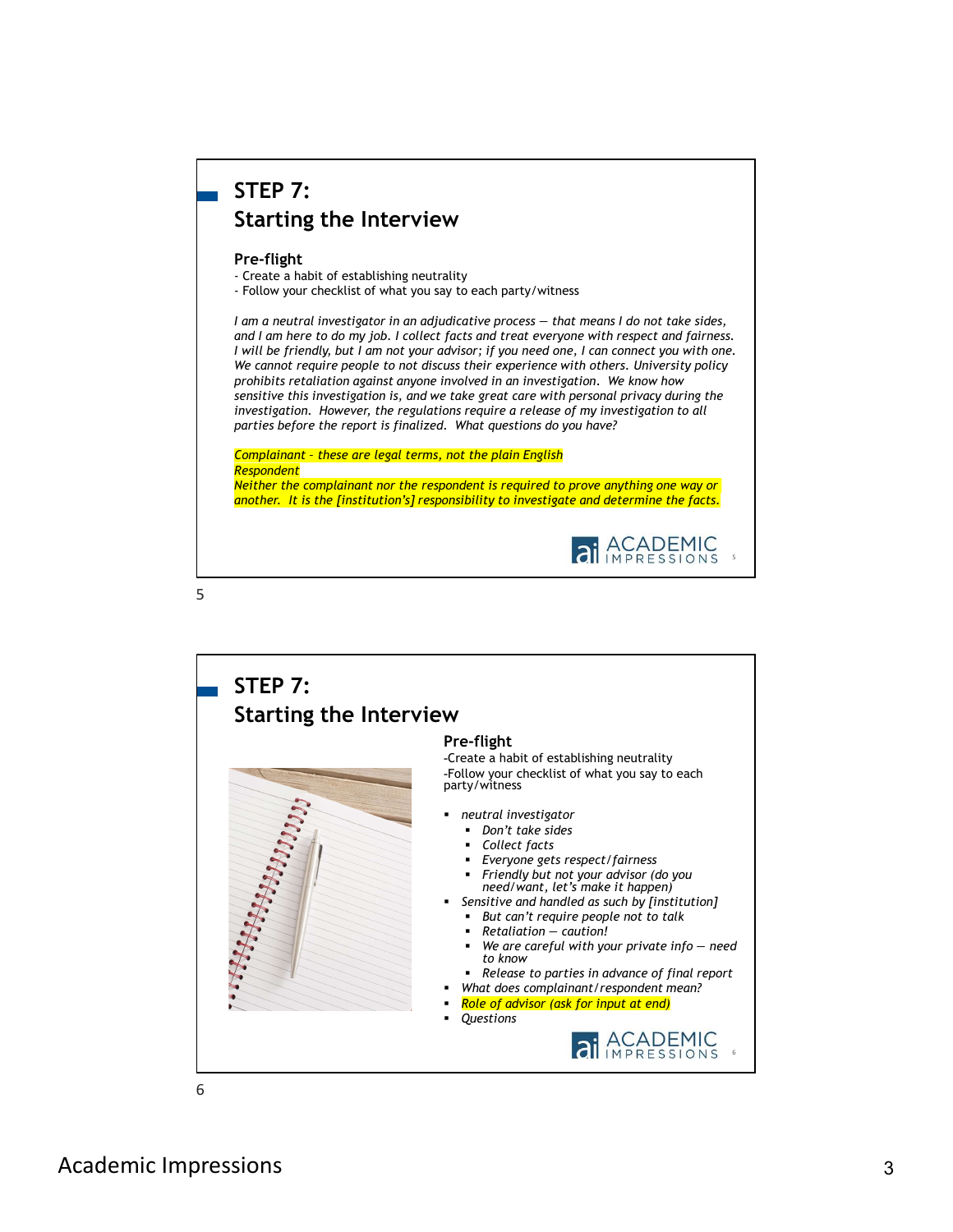## STEP 7: Starting the Interview

### Pre-flight

**STEP 7:**<br> **Starting the Interview**<br> **Pre-flight**<br>
- Create a habit of establishing neutrality<br>
- Follow your checklist of what you say to each party/witness<br>
1 am a neutral investigator in an adjudicative process — that **STEP 7:**<br> **Starting the Interview**<br> **Pre-flight**<br>
Create a habit of establishing neutrality<br>
Create a habit of establishing neutrality<br> *Create a* had low your checklist of what you say to each party/witness<br> *I am a neut* **STEP 7:**<br>
Starting the Interview<br>
Free-flight<br>
Froleste a habit of establishing neutrality<br>
Frolesty and the rest distortion of the main adjudicative process — that means I do not take sides,<br>
I am a neutral investigator and I am here to do my job. I collect facts and treat everyone with respect and fairness. I will be friendly, but I am not your advisor; if you need one, I can connect you with one. We cannot require people to not discuss their experience with others. University policy prohibits retaliation against anyone involved in an investigation. We know how sensitive this investigation is, and we take great care with personal privacy during the investigation. However, the regulations require a release of my investigation to all parties before the report is finalized. What questions do you have?

#### Complainant – these are legal terms, not the plain English Respondent

Neither the complainant nor the respondent is required to prove anything one way or another. It is the [institution's] responsibility to investigate and determine the facts.



 $5<sub>5</sub>$ 

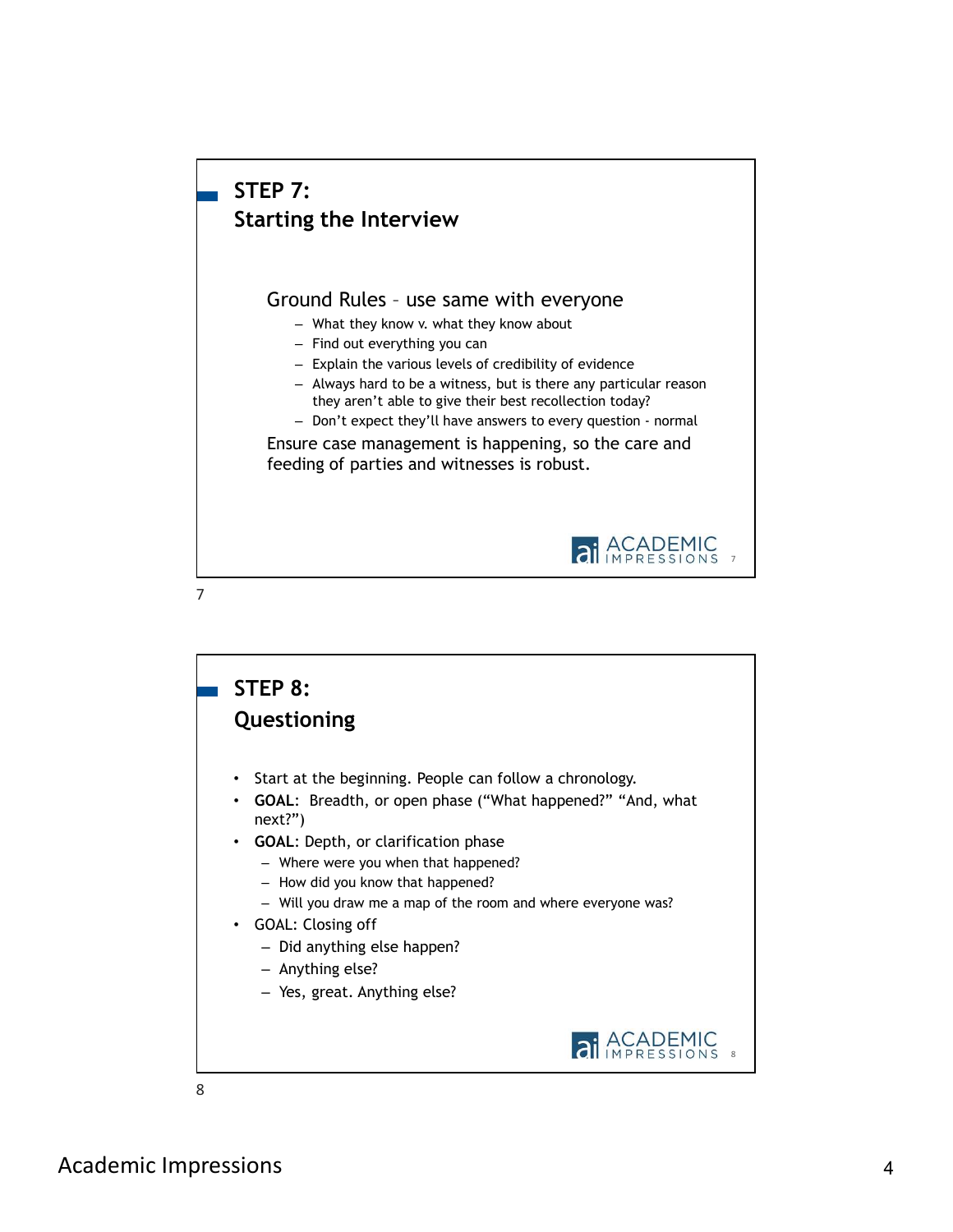

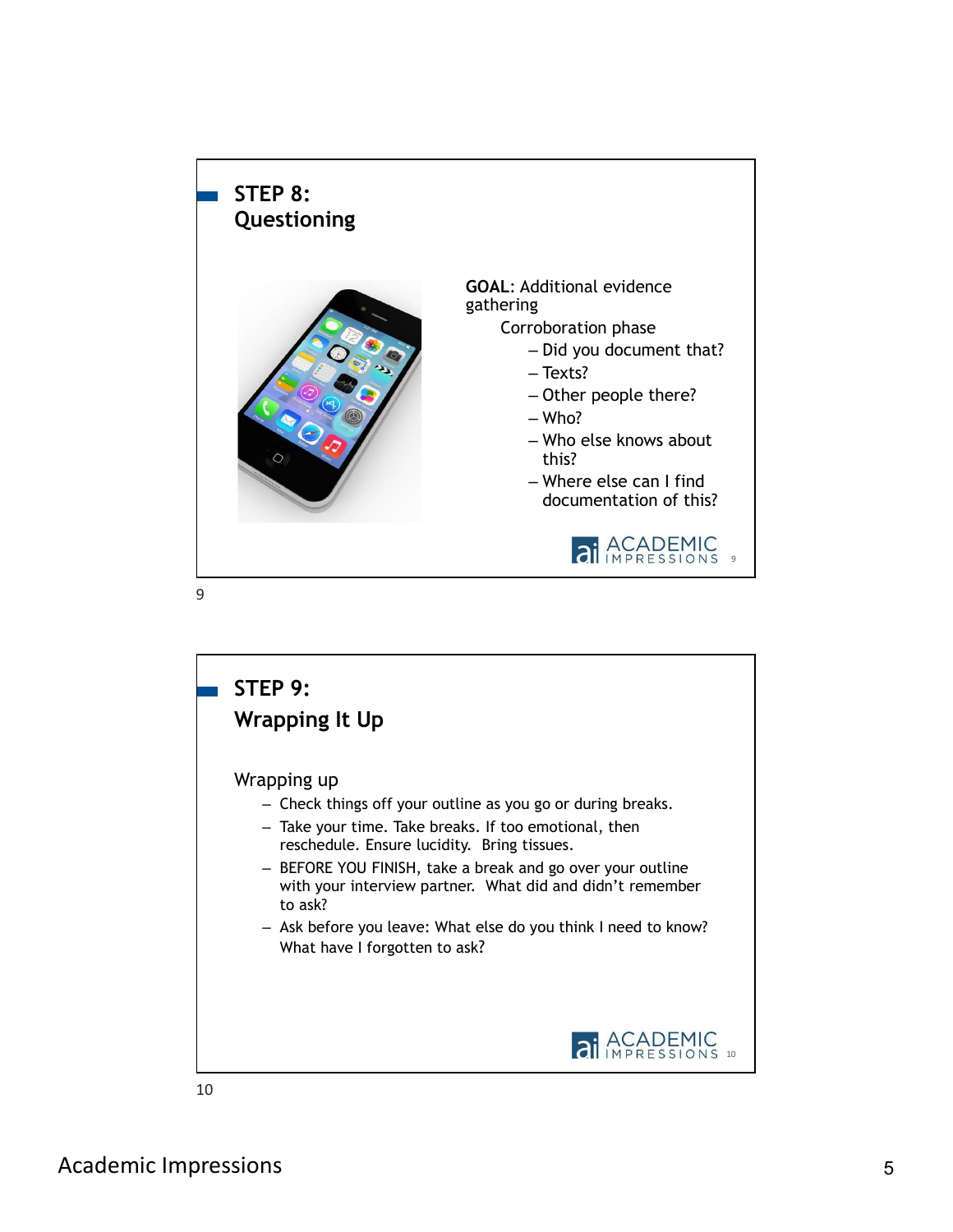

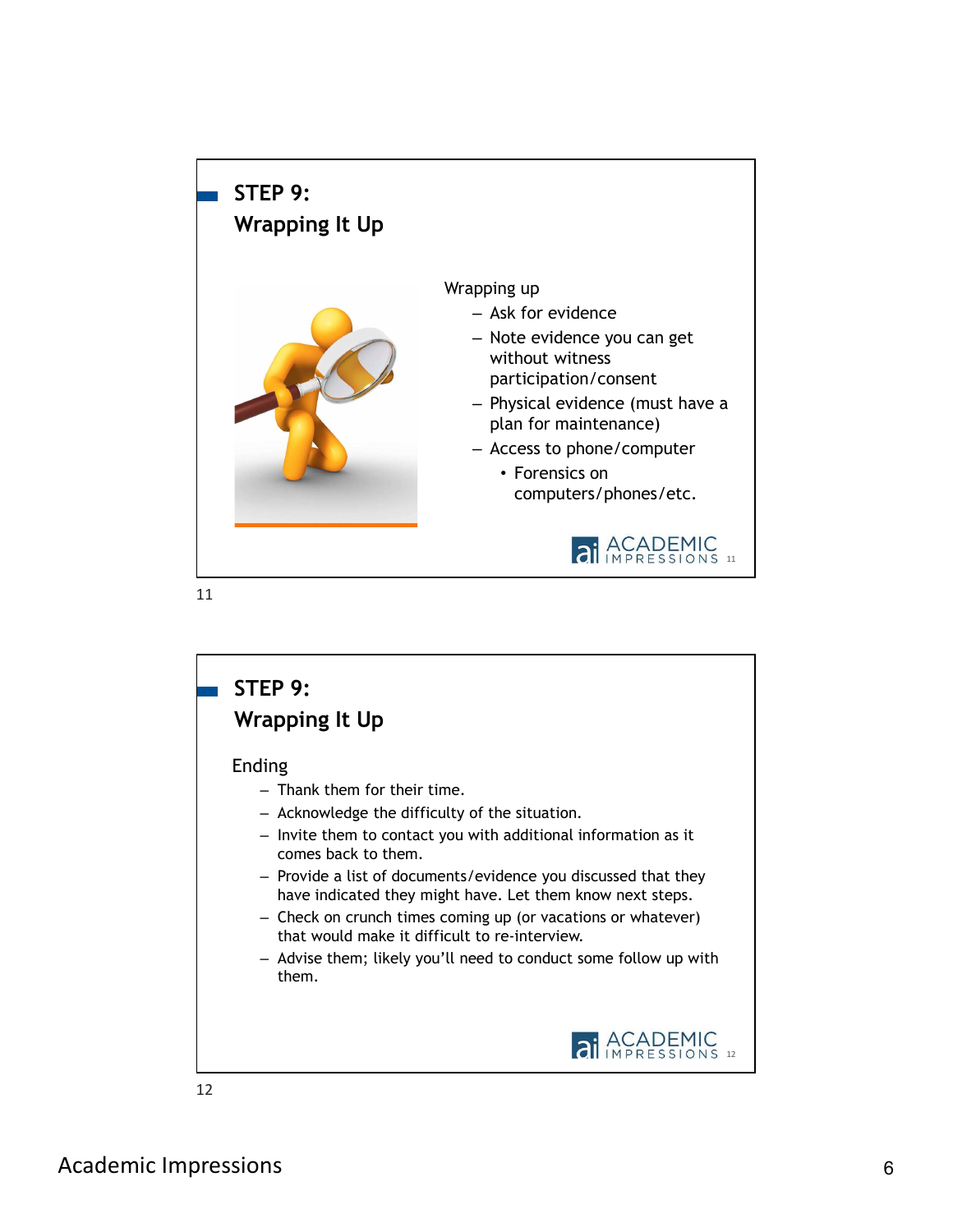

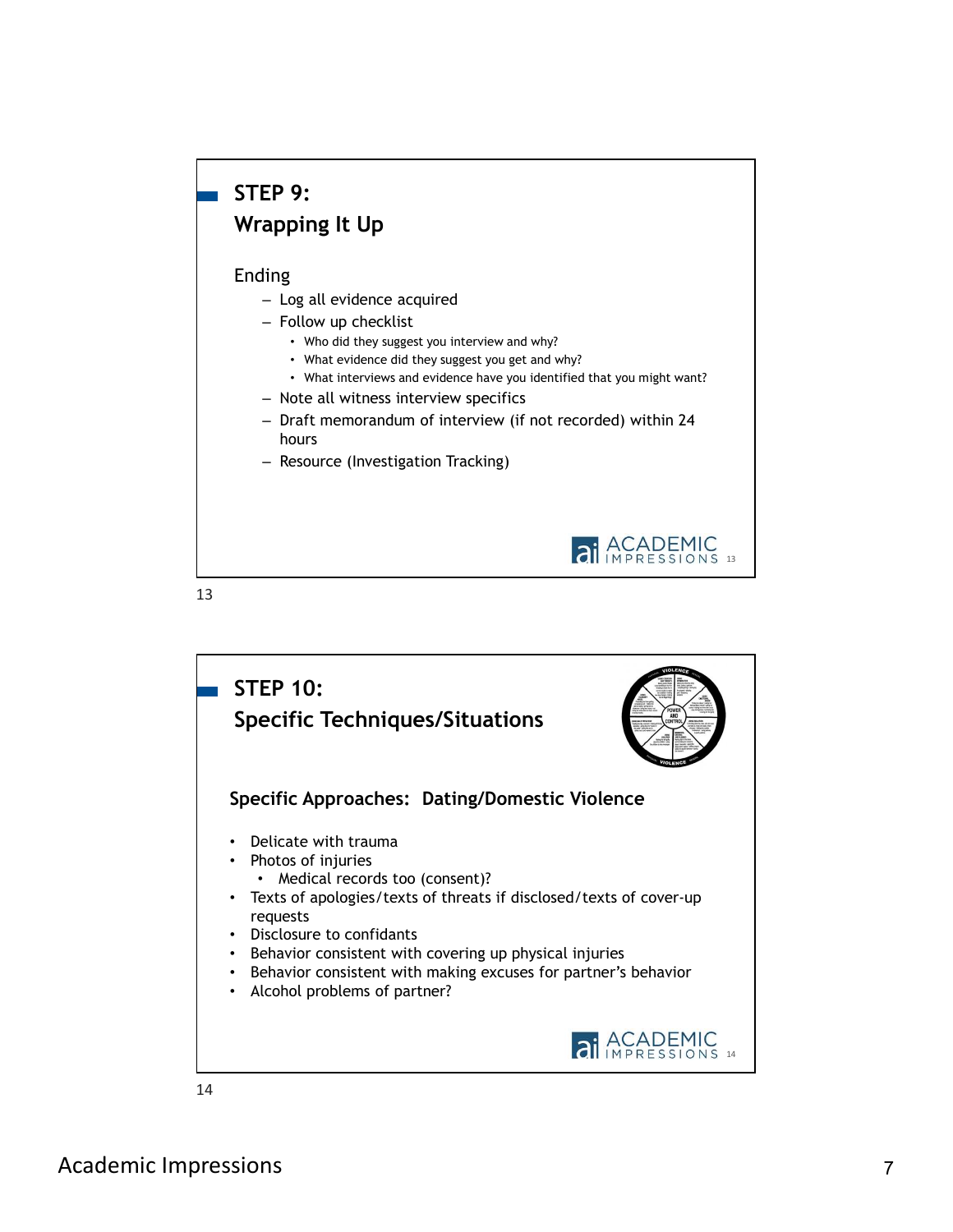# STEP 9: Wrapping It Up

### Ending

- Log all evidence acquired
- Follow up checklist
	- Who did they suggest you interview and why?
	- What evidence did they suggest you get and why?
	- What interviews and evidence have you identified that you might want?
- Note all witness interview specifics
- Draft memorandum of interview (if not recorded) within 24 hours
- Resource (Investigation Tracking)



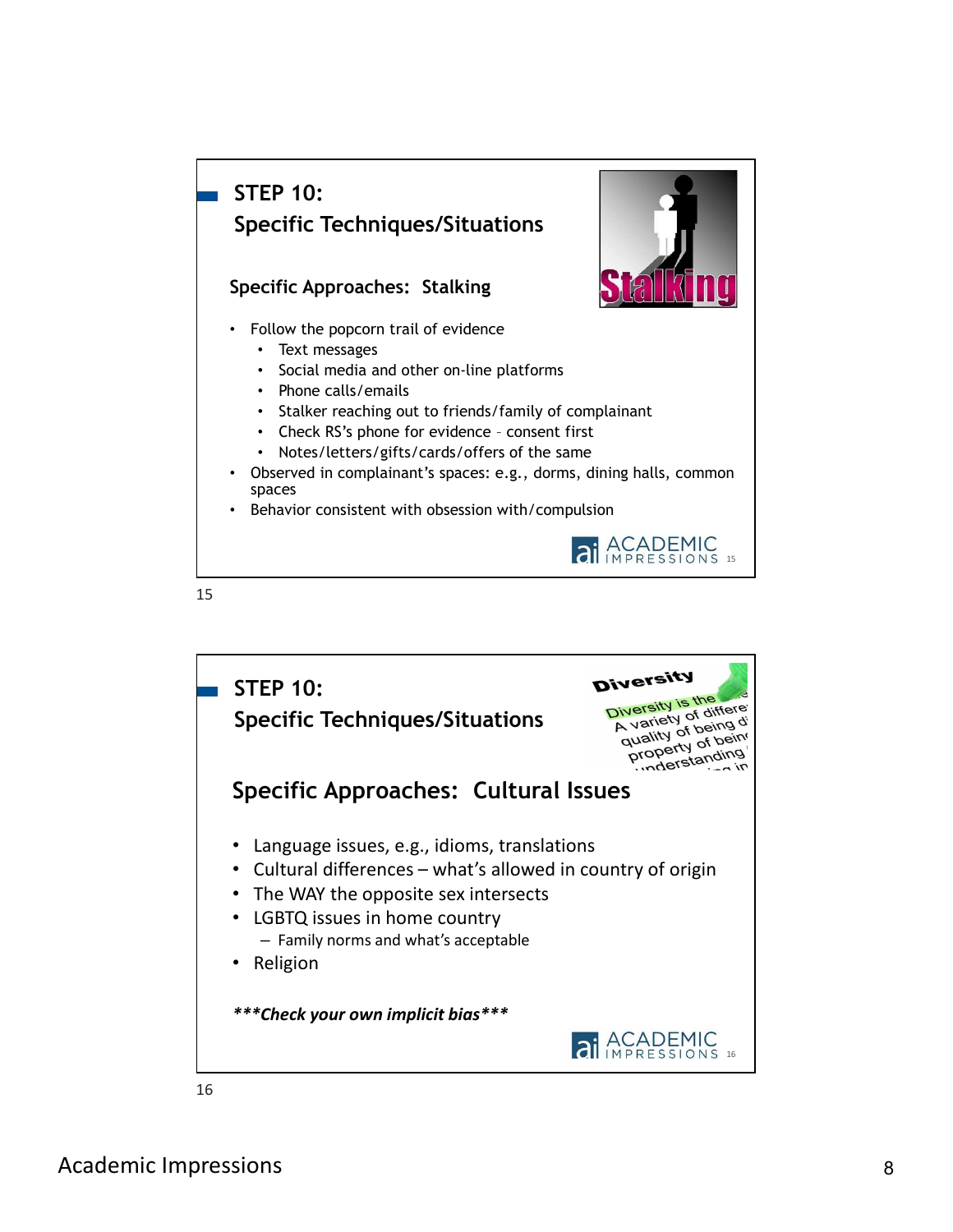## Specific Approaches: Stalking • Follow the popcorn trail of evidence • Text messages • Social media and other on-line platforms • Phone calls/emails • Stalker reaching out to friends/family of complainant **EP 10:**<br> **ecific Techniques/Situations**<br> **cific Approaches:** Stalking<br> **collow the popcorn trail of evidence**<br>
• Stocial media and other on-line platforms<br>
• Stalkiner reaching out to friends/family of complainant<br>
• Cake • Notes/letters/gifts/cards/offers of the same • Observed in complainant's spaces: e.g., dorms, dining halls, common spaces • Behavior consistent with obsession with/compulsion STEP 10: Specific Techniques/Situations

### 15





16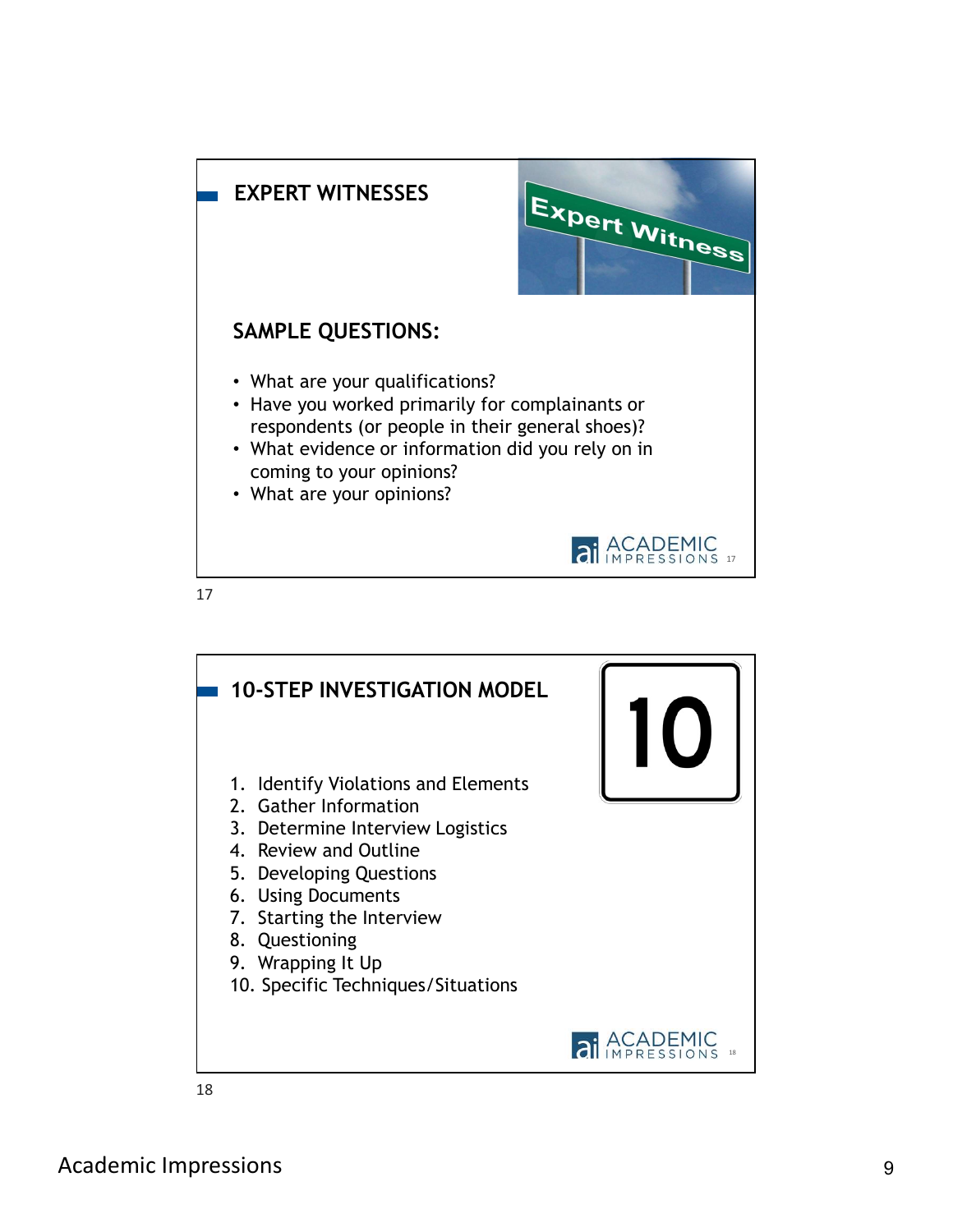

17